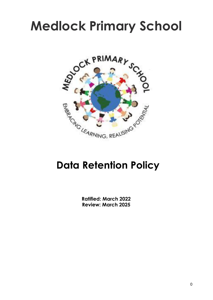## **Medlock Primary School**



## **Data Retention Policy**

**Ratified: March 2022 Review: March 2025**